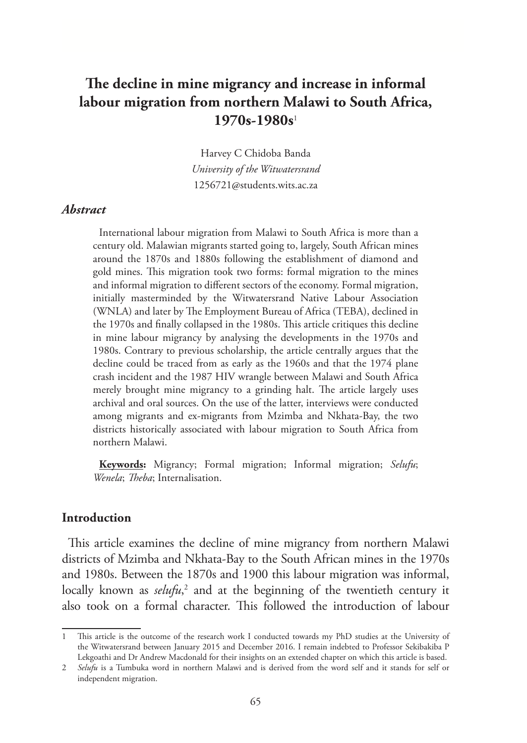# **The decline in mine migrancy and increase in informal labour migration from northern Malawi to South Africa, 1970s-1980s**<sup>1</sup>

Harvey C Chidoba Banda *University of the Witwatersrand* 1256721@students.wits.ac.za

## *Abstract*

International labour migration from Malawi to South Africa is more than a century old. Malawian migrants started going to, largely, South African mines around the 1870s and 1880s following the establishment of diamond and gold mines. This migration took two forms: formal migration to the mines and informal migration to different sectors of the economy. Formal migration, initially masterminded by the Witwatersrand Native Labour Association (WNLA) and later by The Employment Bureau of Africa (TEBA), declined in the 1970s and finally collapsed in the 1980s. This article critiques this decline in mine labour migrancy by analysing the developments in the 1970s and 1980s. Contrary to previous scholarship, the article centrally argues that the decline could be traced from as early as the 1960s and that the 1974 plane crash incident and the 1987 HIV wrangle between Malawi and South Africa merely brought mine migrancy to a grinding halt. The article largely uses archival and oral sources. On the use of the latter, interviews were conducted among migrants and ex-migrants from Mzimba and Nkhata-Bay, the two districts historically associated with labour migration to South Africa from northern Malawi.

**Keywords:** Migrancy; Formal migration; Informal migration; *Selufu*; *Wenela*; *Theba*; Internalisation.

## **Introduction**

This article examines the decline of mine migrancy from northern Malawi districts of Mzimba and Nkhata-Bay to the South African mines in the 1970s and 1980s. Between the 1870s and 1900 this labour migration was informal, locally known as *selufu*,<sup>2</sup> and at the beginning of the twentieth century it also took on a formal character. This followed the introduction of labour

<sup>1</sup> This article is the outcome of the research work I conducted towards my PhD studies at the University of the Witwatersrand between January 2015 and December 2016. I remain indebted to Professor Sekibakiba P Lekgoathi and Dr Andrew Macdonald for their insights on an extended chapter on which this article is based.

<sup>2</sup> *Selufu* is a Tumbuka word in northern Malawi and is derived from the word self and it stands for self or independent migration.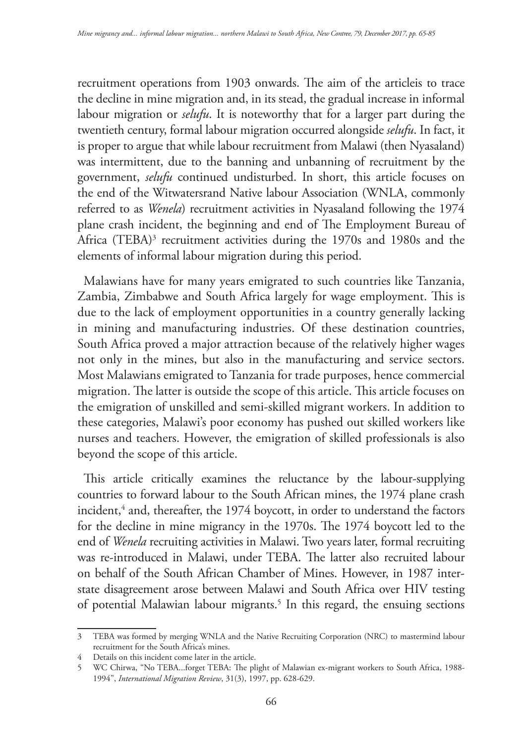recruitment operations from 1903 onwards. The aim of the articleis to trace the decline in mine migration and, in its stead, the gradual increase in informal labour migration or *selufu*. It is noteworthy that for a larger part during the twentieth century, formal labour migration occurred alongside *selufu*. In fact, it is proper to argue that while labour recruitment from Malawi (then Nyasaland) was intermittent, due to the banning and unbanning of recruitment by the government, *selufu* continued undisturbed. In short, this article focuses on the end of the Witwatersrand Native labour Association (WNLA, commonly referred to as *Wenela*) recruitment activities in Nyasaland following the 1974 plane crash incident, the beginning and end of The Employment Bureau of Africa (TEBA)3 recruitment activities during the 1970s and 1980s and the elements of informal labour migration during this period.

Malawians have for many years emigrated to such countries like Tanzania, Zambia, Zimbabwe and South Africa largely for wage employment. This is due to the lack of employment opportunities in a country generally lacking in mining and manufacturing industries. Of these destination countries, South Africa proved a major attraction because of the relatively higher wages not only in the mines, but also in the manufacturing and service sectors. Most Malawians emigrated to Tanzania for trade purposes, hence commercial migration. The latter is outside the scope of this article. This article focuses on the emigration of unskilled and semi-skilled migrant workers. In addition to these categories, Malawi's poor economy has pushed out skilled workers like nurses and teachers. However, the emigration of skilled professionals is also beyond the scope of this article.

This article critically examines the reluctance by the labour-supplying countries to forward labour to the South African mines, the 1974 plane crash incident,<sup>4</sup> and, thereafter, the 1974 boycott, in order to understand the factors for the decline in mine migrancy in the 1970s. The 1974 boycott led to the end of *Wenela* recruiting activities in Malawi. Two years later, formal recruiting was re-introduced in Malawi, under TEBA. The latter also recruited labour on behalf of the South African Chamber of Mines. However, in 1987 interstate disagreement arose between Malawi and South Africa over HIV testing of potential Malawian labour migrants.<sup>5</sup> In this regard, the ensuing sections

<sup>3</sup> TEBA was formed by merging WNLA and the Native Recruiting Corporation (NRC) to mastermind labour recruitment for the South Africa's mines.

<sup>4</sup> Details on this incident come later in the article.

<sup>5</sup> WC Chirwa, "No TEBA...forget TEBA: The plight of Malawian ex-migrant workers to South Africa, 1988- 1994", *International Migration Review*, 31(3), 1997, pp. 628-629.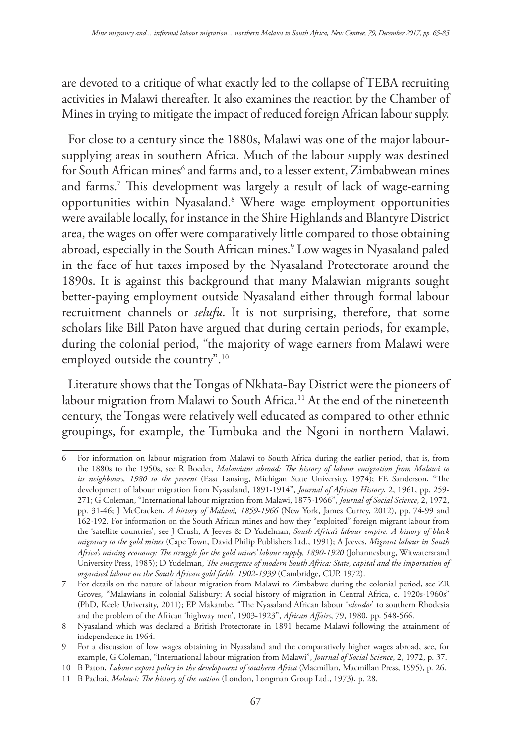are devoted to a critique of what exactly led to the collapse of TEBA recruiting activities in Malawi thereafter. It also examines the reaction by the Chamber of Mines in trying to mitigate the impact of reduced foreign African labour supply.

For close to a century since the 1880s, Malawi was one of the major laboursupplying areas in southern Africa. Much of the labour supply was destined for South African mines<sup>6</sup> and farms and, to a lesser extent, Zimbabwean mines and farms.7 This development was largely a result of lack of wage-earning opportunities within Nyasaland.<sup>8</sup> Where wage employment opportunities were available locally, for instance in the Shire Highlands and Blantyre District area, the wages on offer were comparatively little compared to those obtaining abroad, especially in the South African mines.9 Low wages in Nyasaland paled in the face of hut taxes imposed by the Nyasaland Protectorate around the 1890s. It is against this background that many Malawian migrants sought better-paying employment outside Nyasaland either through formal labour recruitment channels or *selufu*. It is not surprising, therefore, that some scholars like Bill Paton have argued that during certain periods, for example, during the colonial period, "the majority of wage earners from Malawi were employed outside the country".<sup>10</sup>

Literature shows that the Tongas of Nkhata-Bay District were the pioneers of labour migration from Malawi to South Africa.<sup>11</sup> At the end of the nineteenth century, the Tongas were relatively well educated as compared to other ethnic groupings, for example, the Tumbuka and the Ngoni in northern Malawi.

<sup>6</sup> For information on labour migration from Malawi to South Africa during the earlier period, that is, from the 1880s to the 1950s, see R Boeder, *Malawians abroad: The history of labour emigration from Malawi to its neighbours, 1980 to the present* (East Lansing, Michigan State University, 1974); FE Sanderson, "The development of labour migration from Nyasaland, 1891-1914", *Journal of African History*, 2, 1961, pp. 259- 271; G Coleman, "International labour migration from Malawi, 1875-1966", *Journal of Social Science*, 2, 1972, pp. 31-46; J McCracken, *A history of Malawi, 1859-1966* (New York, James Currey, 2012), pp. 74-99 and 162-192. For information on the South African mines and how they "exploited" foreign migrant labour from the 'satellite countries', see J Crush, A Jeeves & D Yudelman, *South Africa's labour empire: A history of black migrancy to the gold mines* (Cape Town, David Philip Publishers Ltd., 1991); A Jeeves, *Migrant labour in South Africa's mining economy: The struggle for the gold mines' labour supply, 1890-1920* (Johannesburg, Witwatersrand University Press, 1985); D Yudelman, *The emergence of modern South Africa: State, capital and the importation of organised labour on the South African gold fields, 1902-1939* (Cambridge, CUP, 1972).

<sup>7</sup> For details on the nature of labour migration from Malawi to Zimbabwe during the colonial period, see ZR Groves, "Malawians in colonial Salisbury: A social history of migration in Central Africa, c. 1920s-1960s" (PhD, Keele University, 2011); EP Makambe, "The Nyasaland African labour '*ulendos*' to southern Rhodesia and the problem of the African 'highway men', 1903-1923", *African Affairs*, 79, 1980, pp. 548-566.

<sup>8</sup> Nyasaland which was declared a British Protectorate in 1891 became Malawi following the attainment of independence in 1964.

<sup>9</sup> For a discussion of low wages obtaining in Nyasaland and the comparatively higher wages abroad, see, for example, G Coleman, "International labour migration from Malawi", *Journal of Social Science*, 2, 1972, p. 37.

<sup>10</sup> B Paton, *Labour export policy in the development of southern Africa* (Macmillan, Macmillan Press, 1995), p. 26.

<sup>11</sup> B Pachai, *Malawi: The history of the nation* (London, Longman Group Ltd., 1973), p. 28.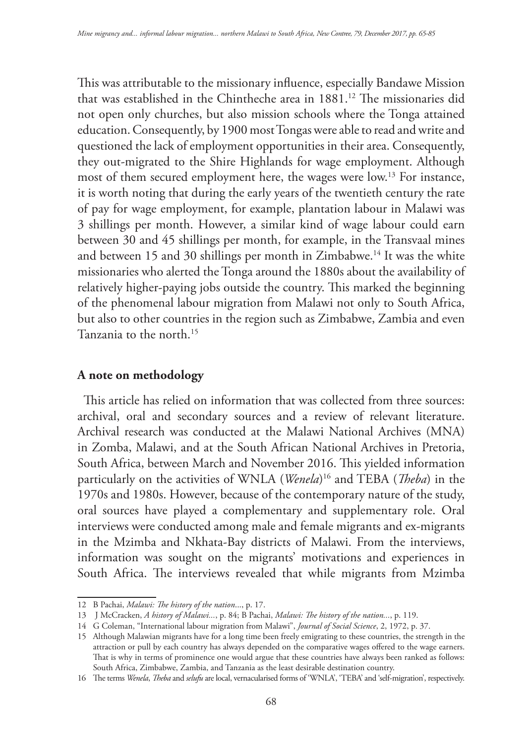This was attributable to the missionary influence, especially Bandawe Mission that was established in the Chintheche area in 1881.<sup>12</sup> The missionaries did not open only churches, but also mission schools where the Tonga attained education. Consequently, by 1900 most Tongas were able to read and write and questioned the lack of employment opportunities in their area. Consequently, they out-migrated to the Shire Highlands for wage employment. Although most of them secured employment here, the wages were low.13 For instance, it is worth noting that during the early years of the twentieth century the rate of pay for wage employment, for example, plantation labour in Malawi was 3 shillings per month. However, a similar kind of wage labour could earn between 30 and 45 shillings per month, for example, in the Transvaal mines and between 15 and 30 shillings per month in Zimbabwe.<sup>14</sup> It was the white missionaries who alerted the Tonga around the 1880s about the availability of relatively higher-paying jobs outside the country. This marked the beginning of the phenomenal labour migration from Malawi not only to South Africa, but also to other countries in the region such as Zimbabwe, Zambia and even Tanzania to the north.15

## **A note on methodology**

This article has relied on information that was collected from three sources: archival, oral and secondary sources and a review of relevant literature. Archival research was conducted at the Malawi National Archives (MNA) in Zomba, Malawi, and at the South African National Archives in Pretoria, South Africa, between March and November 2016. This yielded information particularly on the activities of WNLA (*Wenela*) 16 and TEBA (*Theba*) in the 1970s and 1980s. However, because of the contemporary nature of the study, oral sources have played a complementary and supplementary role. Oral interviews were conducted among male and female migrants and ex-migrants in the Mzimba and Nkhata-Bay districts of Malawi. From the interviews, information was sought on the migrants' motivations and experiences in South Africa. The interviews revealed that while migrants from Mzimba

<sup>12</sup> B Pachai, *Malawi: The history of the nation*..., p. 17.

<sup>13</sup> J McCracken, *A history of Malawi...*, p. 84; B Pachai, *Malawi: The history of the nation...*, p. 119.

<sup>14</sup> G Coleman, "International labour migration from Malawi", *Journal of Social Science*, 2, 1972, p. 37.

<sup>15</sup> Although Malawian migrants have for a long time been freely emigrating to these countries, the strength in the attraction or pull by each country has always depended on the comparative wages offered to the wage earners. That is why in terms of prominence one would argue that these countries have always been ranked as follows: South Africa, Zimbabwe, Zambia, and Tanzania as the least desirable destination country.

<sup>16</sup> The terms *Wenela*, *Theba* and *selufu* are local, vernacularised forms of 'WNLA', 'TEBA' and 'self-migration', respectively.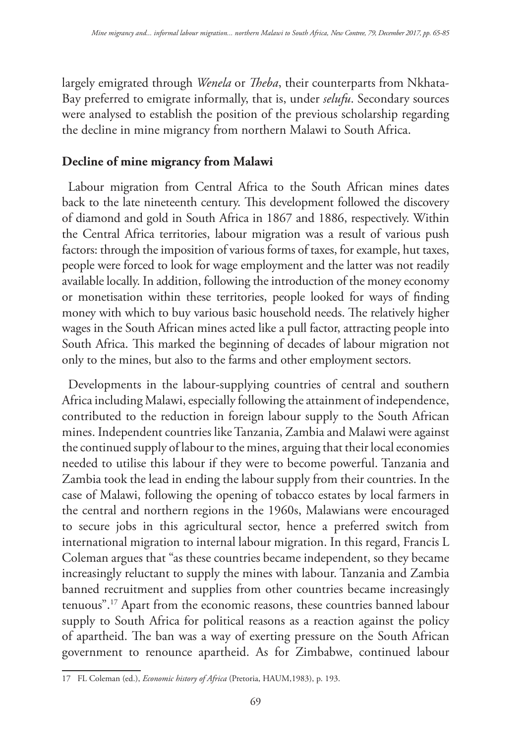largely emigrated through *Wenela* or *Theba*, their counterparts from Nkhata-Bay preferred to emigrate informally, that is, under *selufu*. Secondary sources were analysed to establish the position of the previous scholarship regarding the decline in mine migrancy from northern Malawi to South Africa.

## **Decline of mine migrancy from Malawi**

Labour migration from Central Africa to the South African mines dates back to the late nineteenth century. This development followed the discovery of diamond and gold in South Africa in 1867 and 1886, respectively. Within the Central Africa territories, labour migration was a result of various push factors: through the imposition of various forms of taxes, for example, hut taxes, people were forced to look for wage employment and the latter was not readily available locally. In addition, following the introduction of the money economy or monetisation within these territories, people looked for ways of finding money with which to buy various basic household needs. The relatively higher wages in the South African mines acted like a pull factor, attracting people into South Africa. This marked the beginning of decades of labour migration not only to the mines, but also to the farms and other employment sectors.

Developments in the labour-supplying countries of central and southern Africa including Malawi, especially following the attainment of independence, contributed to the reduction in foreign labour supply to the South African mines. Independent countries like Tanzania, Zambia and Malawi were against the continued supply of labour to the mines, arguing that their local economies needed to utilise this labour if they were to become powerful. Tanzania and Zambia took the lead in ending the labour supply from their countries. In the case of Malawi, following the opening of tobacco estates by local farmers in the central and northern regions in the 1960s, Malawians were encouraged to secure jobs in this agricultural sector, hence a preferred switch from international migration to internal labour migration. In this regard, Francis L Coleman argues that "as these countries became independent, so they became increasingly reluctant to supply the mines with labour. Tanzania and Zambia banned recruitment and supplies from other countries became increasingly tenuous".17 Apart from the economic reasons, these countries banned labour supply to South Africa for political reasons as a reaction against the policy of apartheid. The ban was a way of exerting pressure on the South African government to renounce apartheid. As for Zimbabwe, continued labour

<sup>17</sup> FL Coleman (ed.), *Economic history of Africa* (Pretoria, HAUM,1983), p. 193.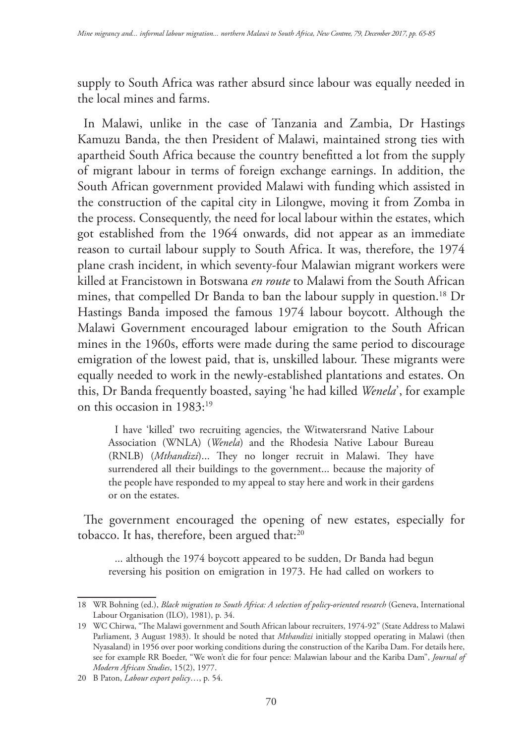supply to South Africa was rather absurd since labour was equally needed in the local mines and farms.

In Malawi, unlike in the case of Tanzania and Zambia, Dr Hastings Kamuzu Banda, the then President of Malawi, maintained strong ties with apartheid South Africa because the country benefitted a lot from the supply of migrant labour in terms of foreign exchange earnings. In addition, the South African government provided Malawi with funding which assisted in the construction of the capital city in Lilongwe, moving it from Zomba in the process. Consequently, the need for local labour within the estates, which got established from the 1964 onwards, did not appear as an immediate reason to curtail labour supply to South Africa. It was, therefore, the 1974 plane crash incident, in which seventy-four Malawian migrant workers were killed at Francistown in Botswana *en route* to Malawi from the South African mines, that compelled Dr Banda to ban the labour supply in question.18 Dr Hastings Banda imposed the famous 1974 labour boycott. Although the Malawi Government encouraged labour emigration to the South African mines in the 1960s, efforts were made during the same period to discourage emigration of the lowest paid, that is, unskilled labour. These migrants were equally needed to work in the newly-established plantations and estates. On this, Dr Banda frequently boasted, saying 'he had killed *Wenela*', for example on this occasion in 1983:19

I have 'killed' two recruiting agencies, the Witwatersrand Native Labour Association (WNLA) (*Wenela*) and the Rhodesia Native Labour Bureau (RNLB) (*Mthandizi*)... They no longer recruit in Malawi. They have surrendered all their buildings to the government... because the majority of the people have responded to my appeal to stay here and work in their gardens or on the estates.

The government encouraged the opening of new estates, especially for tobacco. It has, therefore, been argued that:<sup>20</sup>

... although the 1974 boycott appeared to be sudden, Dr Banda had begun reversing his position on emigration in 1973. He had called on workers to

<sup>18</sup> WR Bohning (ed.), *Black migration to South Africa: A selection of policy-oriented research* (Geneva, International Labour Organisation (ILO), 1981), p. 34.

<sup>19</sup> WC Chirwa, "The Malawi government and South African labour recruiters, 1974-92" (State Address to Malawi Parliament, 3 August 1983). It should be noted that *Mthandizi* initially stopped operating in Malawi (then Nyasaland) in 1956 over poor working conditions during the construction of the Kariba Dam. For details here, see for example RR Boeder, "We won't die for four pence: Malawian labour and the Kariba Dam", *Journal of Modern African Studies*, 15(2), 1977.

<sup>20</sup> B Paton, *Labour export policy*…, p. 54.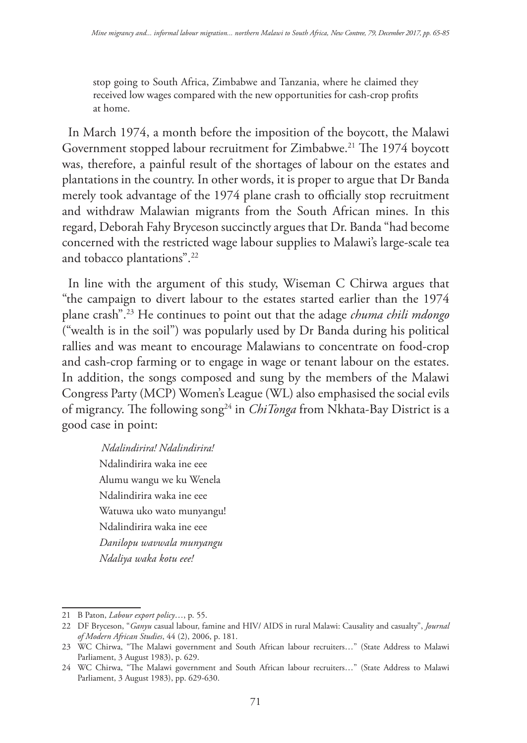stop going to South Africa, Zimbabwe and Tanzania, where he claimed they received low wages compared with the new opportunities for cash-crop profits at home.

In March 1974, a month before the imposition of the boycott, the Malawi Government stopped labour recruitment for Zimbabwe.21 The 1974 boycott was, therefore, a painful result of the shortages of labour on the estates and plantations in the country. In other words, it is proper to argue that Dr Banda merely took advantage of the 1974 plane crash to officially stop recruitment and withdraw Malawian migrants from the South African mines. In this regard, Deborah Fahy Bryceson succinctly argues that Dr. Banda "had become concerned with the restricted wage labour supplies to Malawi's large-scale tea and tobacco plantations".22

In line with the argument of this study, Wiseman C Chirwa argues that "the campaign to divert labour to the estates started earlier than the 1974 plane crash".23 He continues to point out that the adage *chuma chili mdongo* ("wealth is in the soil") was popularly used by Dr Banda during his political rallies and was meant to encourage Malawians to concentrate on food-crop and cash-crop farming or to engage in wage or tenant labour on the estates. In addition, the songs composed and sung by the members of the Malawi Congress Party (MCP) Women's League (WL) also emphasised the social evils of migrancy. The following song<sup>24</sup> in *ChiTonga* from Nkhata-Bay District is a good case in point:

*Ndalindirira! Ndalindirira!* Ndalindirira waka ine eee Alumu wangu we ku Wenela Ndalindirira waka ine eee Watuwa uko wato munyangu! Ndalindirira waka ine eee *Danilopu wavwala munyangu Ndaliya waka kotu eee!*

<sup>21</sup> B Paton, *Labour export policy*…, p. 55.

<sup>22</sup> DF Bryceson, "*Ganyu* casual labour, famine and HIV/ AIDS in rural Malawi: Causality and casualty", *Journal of Modern African Studies*, 44 (2), 2006, p. 181.

<sup>23</sup> WC Chirwa, "The Malawi government and South African labour recruiters…" (State Address to Malawi Parliament, 3 August 1983), p. 629.

<sup>24</sup> WC Chirwa, "The Malawi government and South African labour recruiters…" (State Address to Malawi Parliament, 3 August 1983), pp. 629-630.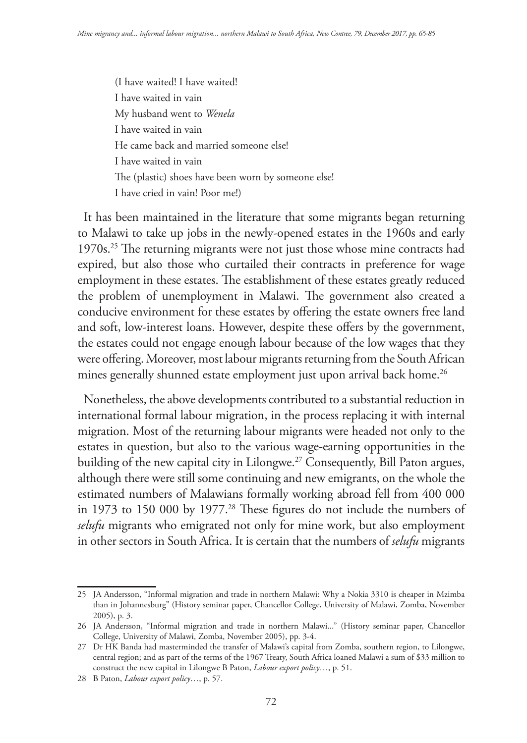(I have waited! I have waited! I have waited in vain My husband went to *Wenela* I have waited in vain He came back and married someone else! I have waited in vain The (plastic) shoes have been worn by someone else! I have cried in vain! Poor me!)

It has been maintained in the literature that some migrants began returning to Malawi to take up jobs in the newly-opened estates in the 1960s and early 1970s.25 The returning migrants were not just those whose mine contracts had expired, but also those who curtailed their contracts in preference for wage employment in these estates. The establishment of these estates greatly reduced the problem of unemployment in Malawi. The government also created a conducive environment for these estates by offering the estate owners free land and soft, low-interest loans. However, despite these offers by the government, the estates could not engage enough labour because of the low wages that they were offering. Moreover, most labour migrants returning from the South African mines generally shunned estate employment just upon arrival back home.<sup>26</sup>

Nonetheless, the above developments contributed to a substantial reduction in international formal labour migration, in the process replacing it with internal migration. Most of the returning labour migrants were headed not only to the estates in question, but also to the various wage-earning opportunities in the building of the new capital city in Lilongwe.<sup>27</sup> Consequently, Bill Paton argues, although there were still some continuing and new emigrants, on the whole the estimated numbers of Malawians formally working abroad fell from 400 000 in 1973 to 150 000 by 1977.28 These figures do not include the numbers of *selufu* migrants who emigrated not only for mine work, but also employment in other sectors in South Africa. It is certain that the numbers of *selufu* migrants

<sup>25</sup> JA Andersson, "Informal migration and trade in northern Malawi: Why a Nokia 3310 is cheaper in Mzimba than in Johannesburg" (History seminar paper, Chancellor College, University of Malawi, Zomba, November 2005), p. 3.

<sup>26</sup> JA Andersson, "Informal migration and trade in northern Malawi..." (History seminar paper, Chancellor College, University of Malawi, Zomba, November 2005), pp. 3-4.

<sup>27</sup> Dr HK Banda had masterminded the transfer of Malawi's capital from Zomba, southern region, to Lilongwe, central region; and as part of the terms of the 1967 Treaty, South Africa loaned Malawi a sum of \$33 million to construct the new capital in Lilongwe B Paton, *Labour export policy*…, p. 51.

<sup>28</sup> B Paton, *Labour export policy*…, p. 57.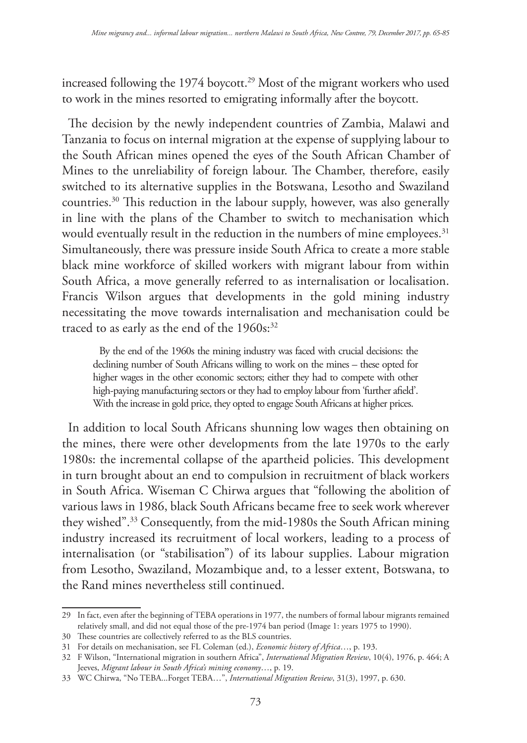increased following the 1974 boycott.<sup>29</sup> Most of the migrant workers who used to work in the mines resorted to emigrating informally after the boycott.

The decision by the newly independent countries of Zambia, Malawi and Tanzania to focus on internal migration at the expense of supplying labour to the South African mines opened the eyes of the South African Chamber of Mines to the unreliability of foreign labour. The Chamber, therefore, easily switched to its alternative supplies in the Botswana, Lesotho and Swaziland countries.30 This reduction in the labour supply, however, was also generally in line with the plans of the Chamber to switch to mechanisation which would eventually result in the reduction in the numbers of mine employees.<sup>31</sup> Simultaneously, there was pressure inside South Africa to create a more stable black mine workforce of skilled workers with migrant labour from within South Africa, a move generally referred to as internalisation or localisation. Francis Wilson argues that developments in the gold mining industry necessitating the move towards internalisation and mechanisation could be traced to as early as the end of the 1960s:<sup>32</sup>

By the end of the 1960s the mining industry was faced with crucial decisions: the declining number of South Africans willing to work on the mines – these opted for higher wages in the other economic sectors; either they had to compete with other high-paying manufacturing sectors or they had to employ labour from 'further afield'. With the increase in gold price, they opted to engage South Africans at higher prices.

In addition to local South Africans shunning low wages then obtaining on the mines, there were other developments from the late 1970s to the early 1980s: the incremental collapse of the apartheid policies. This development in turn brought about an end to compulsion in recruitment of black workers in South Africa. Wiseman C Chirwa argues that "following the abolition of various laws in 1986, black South Africans became free to seek work wherever they wished".33 Consequently, from the mid-1980s the South African mining industry increased its recruitment of local workers, leading to a process of internalisation (or "stabilisation") of its labour supplies. Labour migration from Lesotho, Swaziland, Mozambique and, to a lesser extent, Botswana, to the Rand mines nevertheless still continued.

<sup>29</sup> In fact, even after the beginning of TEBA operations in 1977, the numbers of formal labour migrants remained relatively small, and did not equal those of the pre-1974 ban period (Image 1: years 1975 to 1990).

<sup>30</sup> These countries are collectively referred to as the BLS countries.

<sup>31</sup> For details on mechanisation, see FL Coleman (ed.), *Economic history of Africa*…, p. 193.

<sup>32</sup> F Wilson, "International migration in southern Africa", *International Migration Review*, 10(4), 1976, p. 464; A Jeeves, *Migrant labour in South Africa's mining economy*…, p. 19.

<sup>33</sup> WC Chirwa, "No TEBA...Forget TEBA…", *International Migration Review*, 31(3), 1997, p. 630.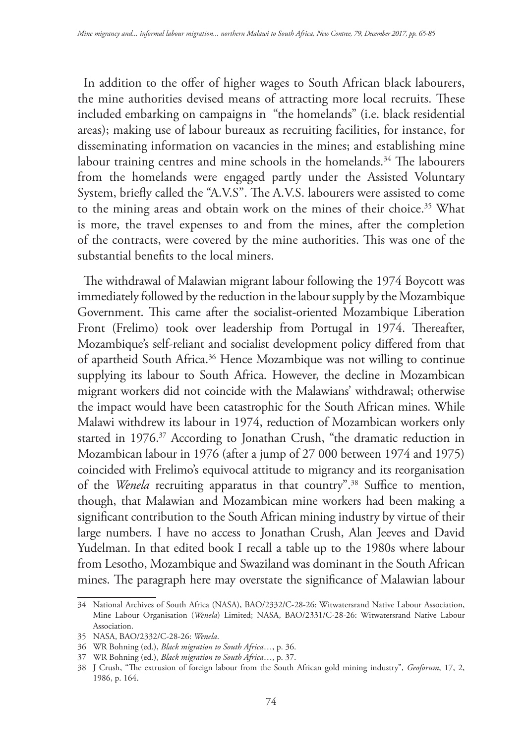In addition to the offer of higher wages to South African black labourers, the mine authorities devised means of attracting more local recruits. These included embarking on campaigns in "the homelands" (i.e. black residential areas); making use of labour bureaux as recruiting facilities, for instance, for disseminating information on vacancies in the mines; and establishing mine labour training centres and mine schools in the homelands.<sup>34</sup> The labourers from the homelands were engaged partly under the Assisted Voluntary System, briefly called the "A.V.S". The A.V.S. labourers were assisted to come to the mining areas and obtain work on the mines of their choice.<sup>35</sup> What is more, the travel expenses to and from the mines, after the completion of the contracts, were covered by the mine authorities. This was one of the substantial benefits to the local miners.

The withdrawal of Malawian migrant labour following the 1974 Boycott was immediately followed by the reduction in the labour supply by the Mozambique Government. This came after the socialist-oriented Mozambique Liberation Front (Frelimo) took over leadership from Portugal in 1974. Thereafter, Mozambique's self-reliant and socialist development policy differed from that of apartheid South Africa.36 Hence Mozambique was not willing to continue supplying its labour to South Africa. However, the decline in Mozambican migrant workers did not coincide with the Malawians' withdrawal; otherwise the impact would have been catastrophic for the South African mines. While Malawi withdrew its labour in 1974, reduction of Mozambican workers only started in 1976.<sup>37</sup> According to Jonathan Crush, "the dramatic reduction in Mozambican labour in 1976 (after a jump of 27 000 between 1974 and 1975) coincided with Frelimo's equivocal attitude to migrancy and its reorganisation of the *Wenela* recruiting apparatus in that country".<sup>38</sup> Suffice to mention, though, that Malawian and Mozambican mine workers had been making a significant contribution to the South African mining industry by virtue of their large numbers. I have no access to Jonathan Crush, Alan Jeeves and David Yudelman. In that edited book I recall a table up to the 1980s where labour from Lesotho, Mozambique and Swaziland was dominant in the South African mines. The paragraph here may overstate the significance of Malawian labour

<sup>34</sup> National Archives of South Africa (NASA), BAO/2332/C-28-26: Witwatersrand Native Labour Association, Mine Labour Organisation (*Wenela*) Limited; NASA, BAO/2331/C-28-26: Witwatersrand Native Labour Association.

<sup>35</sup> NASA, BAO/2332/C-28-26: *Wenela*.

<sup>36</sup> WR Bohning (ed.), *Black migration to South Africa*…, p. 36.

<sup>37</sup> WR Bohning (ed.), *Black migration to South Africa*…, p. 37.

<sup>38</sup> J Crush, "The extrusion of foreign labour from the South African gold mining industry", *Geoforum*, 17, 2, 1986, p. 164.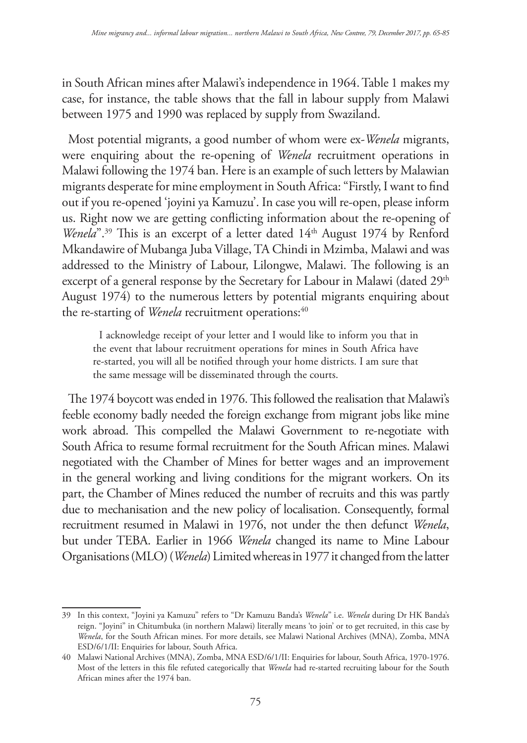in South African mines after Malawi's independence in 1964. Table 1 makes my case, for instance, the table shows that the fall in labour supply from Malawi between 1975 and 1990 was replaced by supply from Swaziland.

Most potential migrants, a good number of whom were ex-*Wenela* migrants, were enquiring about the re-opening of *Wenela* recruitment operations in Malawi following the 1974 ban. Here is an example of such letters by Malawian migrants desperate for mine employment in South Africa: "Firstly, I want to find out if you re-opened 'joyini ya Kamuzu'. In case you will re-open, please inform us. Right now we are getting conflicting information about the re-opening of *Wenela*".<sup>39</sup> This is an excerpt of a letter dated 14<sup>th</sup> August 1974 by Renford Mkandawire of Mubanga Juba Village, TA Chindi in Mzimba, Malawi and was addressed to the Ministry of Labour, Lilongwe, Malawi. The following is an excerpt of a general response by the Secretary for Labour in Malawi (dated 29<sup>th</sup> August 1974) to the numerous letters by potential migrants enquiring about the re-starting of *Wenela* recruitment operations:<sup>40</sup>

I acknowledge receipt of your letter and I would like to inform you that in the event that labour recruitment operations for mines in South Africa have re-started, you will all be notified through your home districts. I am sure that the same message will be disseminated through the courts.

The 1974 boycott was ended in 1976. This followed the realisation that Malawi's feeble economy badly needed the foreign exchange from migrant jobs like mine work abroad. This compelled the Malawi Government to re-negotiate with South Africa to resume formal recruitment for the South African mines. Malawi negotiated with the Chamber of Mines for better wages and an improvement in the general working and living conditions for the migrant workers. On its part, the Chamber of Mines reduced the number of recruits and this was partly due to mechanisation and the new policy of localisation. Consequently, formal recruitment resumed in Malawi in 1976, not under the then defunct *Wenela*, but under TEBA. Earlier in 1966 *Wenela* changed its name to Mine Labour Organisations (MLO) (*Wenela*) Limited whereas in 1977 it changed from the latter

<sup>39</sup> In this context, "Joyini ya Kamuzu" refers to "Dr Kamuzu Banda's *Wenela*" i.e. *Wenela* during Dr HK Banda's reign. "Joyini" in Chitumbuka (in northern Malawi) literally means 'to join' or to get recruited, in this case by *Wenela*, for the South African mines. For more details, see Malawi National Archives (MNA), Zomba, MNA ESD/6/1/II: Enquiries for labour, South Africa.

<sup>40</sup> Malawi National Archives (MNA), Zomba, MNA ESD/6/1/II: Enquiries for labour, South Africa, 1970-1976. Most of the letters in this file refuted categorically that *Wenela* had re-started recruiting labour for the South African mines after the 1974 ban.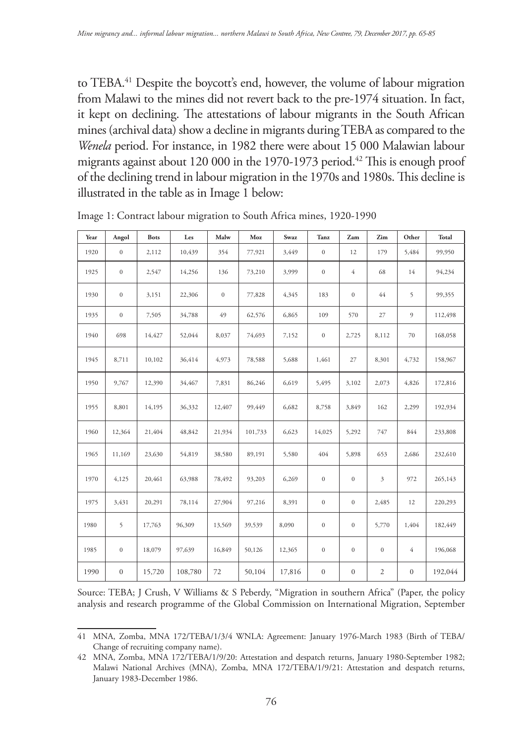to TEBA.41 Despite the boycott's end, however, the volume of labour migration from Malawi to the mines did not revert back to the pre-1974 situation. In fact, it kept on declining. The attestations of labour migrants in the South African mines (archival data) show a decline in migrants during TEBA as compared to the *Wenela* period. For instance, in 1982 there were about 15 000 Malawian labour migrants against about 120 000 in the 1970-1973 period.<sup>42</sup> This is enough proof of the declining trend in labour migration in the 1970s and 1980s. This decline is illustrated in the table as in Image 1 below:

| Year | Angol        | <b>Bots</b> | Les     | Malw             | Moz     | Swaz   | Tanz         | Zam            | Zim            | Other          | Total   |
|------|--------------|-------------|---------|------------------|---------|--------|--------------|----------------|----------------|----------------|---------|
| 1920 | $\mathbf{0}$ | 2,112       | 10,439  | 354              | 77,921  | 3,449  | $\mathbf{0}$ | 12             | 179            | 5,484          | 99,950  |
| 1925 | $\mathbf{0}$ | 2,547       | 14,256  | 136              | 73,210  | 3,999  | $\mathbf{0}$ | $\overline{4}$ | 68             | 14             | 94,234  |
| 1930 | $\mathbf{0}$ | 3,151       | 22,306  | $\boldsymbol{0}$ | 77,828  | 4,345  | 183          | $\mathbf{0}$   | 44             | 5              | 99,355  |
| 1935 | $\mathbf{0}$ | 7,505       | 34,788  | 49               | 62,576  | 6,865  | 109          | 570            | 27             | 9              | 112,498 |
| 1940 | 698          | 14,427      | 52,044  | 8,037            | 74,693  | 7,152  | $\mathbf{0}$ | 2,725          | 8,112          | 70             | 168,058 |
| 1945 | 8,711        | 10.102      | 36,414  | 4,973            | 78,588  | 5,688  | 1.461        | 27             | 8,301          | 4,732          | 158,967 |
| 1950 | 9,767        | 12,390      | 34,467  | 7,831            | 86,246  | 6,619  | 5,495        | 3,102          | 2,073          | 4,826          | 172,816 |
| 1955 | 8,801        | 14.195      | 36,332  | 12,407           | 99,449  | 6.682  | 8,758        | 3,849          | 162            | 2,299          | 192,934 |
| 1960 | 12,364       | 21,404      | 48,842  | 21,934           | 101,733 | 6,623  | 14,025       | 5,292          | 747            | 844            | 233,808 |
| 1965 | 11,169       | 23,630      | 54,819  | 38,580           | 89,191  | 5,580  | 404          | 5,898          | 653            | 2,686          | 232,610 |
| 1970 | 4,125        | 20,461      | 63,988  | 78,492           | 93,203  | 6,269  | $\mathbf{0}$ | $\mathbf{0}$   | 3              | 972            | 265,143 |
| 1975 | 3,431        | 20,291      | 78,114  | 27,904           | 97,216  | 8,391  | $\mathbf{0}$ | $\mathbf{0}$   | 2,485          | 12             | 220,293 |
| 1980 | 5            | 17,763      | 96,309  | 13,569           | 39,539  | 8,090  | $\mathbf{0}$ | $\mathbf{0}$   | 5,770          | 1.404          | 182,449 |
| 1985 | $\mathbf{0}$ | 18,079      | 97,639  | 16,849           | 50,126  | 12,365 | $\mathbf{0}$ | $\mathbf{0}$   | $\mathbf{0}$   | $\overline{4}$ | 196,068 |
| 1990 | $\mathbf{0}$ | 15,720      | 108,780 | 72               | 50,104  | 17,816 | $\mathbf{0}$ | $\overline{0}$ | $\overline{c}$ | $\mathbf{0}$   | 192,044 |

Image 1: Contract labour migration to South Africa mines, 1920-1990

Source: TEBA; J Crush, V Williams & S Peberdy, "Migration in southern Africa" (Paper, the policy analysis and research programme of the Global Commission on International Migration, September

<sup>41</sup> MNA, Zomba, MNA 172/TEBA/1/3/4 WNLA: Agreement: January 1976-March 1983 (Birth of TEBA/ Change of recruiting company name).

<sup>42</sup> MNA, Zomba, MNA 172/TEBA/1/9/20: Attestation and despatch returns, January 1980-September 1982; Malawi National Archives (MNA), Zomba, MNA 172/TEBA/1/9/21: Attestation and despatch returns, January 1983-December 1986.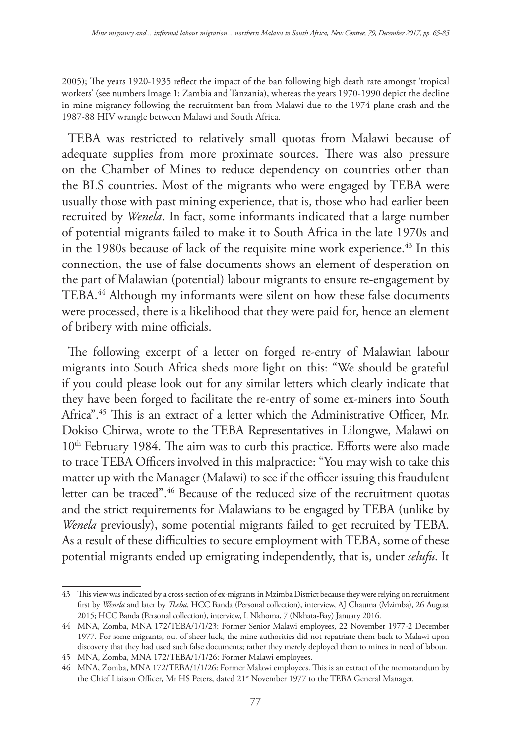2005); The years 1920-1935 reflect the impact of the ban following high death rate amongst 'tropical workers' (see numbers Image 1: Zambia and Tanzania), whereas the years 1970-1990 depict the decline in mine migrancy following the recruitment ban from Malawi due to the 1974 plane crash and the 1987-88 HIV wrangle between Malawi and South Africa.

TEBA was restricted to relatively small quotas from Malawi because of adequate supplies from more proximate sources. There was also pressure on the Chamber of Mines to reduce dependency on countries other than the BLS countries. Most of the migrants who were engaged by TEBA were usually those with past mining experience, that is, those who had earlier been recruited by *Wenela*. In fact, some informants indicated that a large number of potential migrants failed to make it to South Africa in the late 1970s and in the 1980s because of lack of the requisite mine work experience.<sup>43</sup> In this connection, the use of false documents shows an element of desperation on the part of Malawian (potential) labour migrants to ensure re-engagement by TEBA.44 Although my informants were silent on how these false documents were processed, there is a likelihood that they were paid for, hence an element of bribery with mine officials.

The following excerpt of a letter on forged re-entry of Malawian labour migrants into South Africa sheds more light on this: "We should be grateful if you could please look out for any similar letters which clearly indicate that they have been forged to facilitate the re-entry of some ex-miners into South Africa".45 This is an extract of a letter which the Administrative Officer, Mr. Dokiso Chirwa, wrote to the TEBA Representatives in Lilongwe, Malawi on 10<sup>th</sup> February 1984. The aim was to curb this practice. Efforts were also made to trace TEBA Officers involved in this malpractice: "You may wish to take this matter up with the Manager (Malawi) to see if the officer issuing this fraudulent letter can be traced".46 Because of the reduced size of the recruitment quotas and the strict requirements for Malawians to be engaged by TEBA (unlike by *Wenela* previously), some potential migrants failed to get recruited by TEBA. As a result of these difficulties to secure employment with TEBA, some of these potential migrants ended up emigrating independently, that is, under *selufu*. It

<sup>43</sup> This view was indicated by a cross-section of ex-migrants in Mzimba District because they were relying on recruitment first by *Wenela* and later by *Theba*. HCC Banda (Personal collection), interview, AJ Chauma (Mzimba), 26 August 2015; HCC Banda (Personal collection), interview, L Nkhoma, 7 (Nkhata-Bay) January 2016.

<sup>44</sup> MNA, Zomba, MNA 172/TEBA/1/1/23: Former Senior Malawi employees, 22 November 1977-2 December 1977. For some migrants, out of sheer luck, the mine authorities did not repatriate them back to Malawi upon discovery that they had used such false documents; rather they merely deployed them to mines in need of labour.

<sup>45</sup> MNA, Zomba, MNA 172/TEBA/1/1/26: Former Malawi employees.

<sup>46</sup> MNA, Zomba, MNA 172/TEBA/1/1/26: Former Malawi employees. This is an extract of the memorandum by the Chief Liaison Officer, Mr HS Peters, dated 21<sup>st</sup> November 1977 to the TEBA General Manager.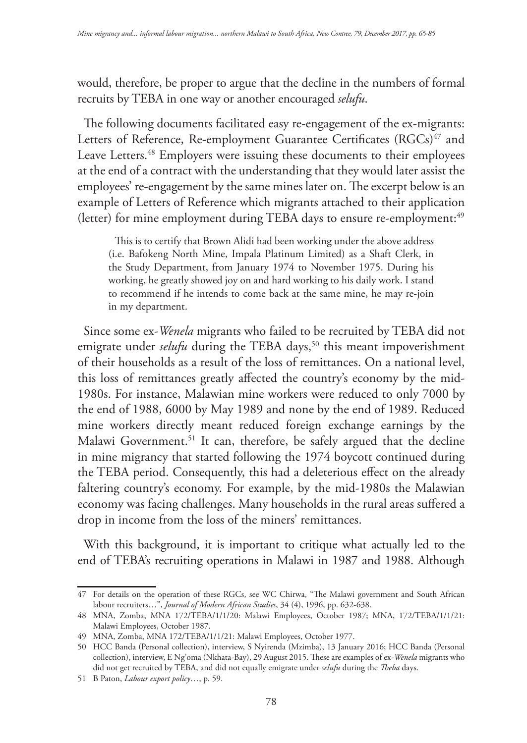would, therefore, be proper to argue that the decline in the numbers of formal recruits by TEBA in one way or another encouraged *selufu*.

The following documents facilitated easy re-engagement of the ex-migrants: Letters of Reference, Re-employment Guarantee Certificates (RGCs)<sup>47</sup> and Leave Letters.<sup>48</sup> Employers were issuing these documents to their employees at the end of a contract with the understanding that they would later assist the employees' re-engagement by the same mines later on. The excerpt below is an example of Letters of Reference which migrants attached to their application (letter) for mine employment during TEBA days to ensure re-employment:<sup>49</sup>

This is to certify that Brown Alidi had been working under the above address (i.e. Bafokeng North Mine, Impala Platinum Limited) as a Shaft Clerk, in the Study Department, from January 1974 to November 1975. During his working, he greatly showed joy on and hard working to his daily work. I stand to recommend if he intends to come back at the same mine, he may re-join in my department.

Since some ex-*Wenela* migrants who failed to be recruited by TEBA did not emigrate under *selufu* during the TEBA days,<sup>50</sup> this meant impoverishment of their households as a result of the loss of remittances. On a national level, this loss of remittances greatly affected the country's economy by the mid-1980s. For instance, Malawian mine workers were reduced to only 7000 by the end of 1988, 6000 by May 1989 and none by the end of 1989. Reduced mine workers directly meant reduced foreign exchange earnings by the Malawi Government.<sup>51</sup> It can, therefore, be safely argued that the decline in mine migrancy that started following the 1974 boycott continued during the TEBA period. Consequently, this had a deleterious effect on the already faltering country's economy. For example, by the mid-1980s the Malawian economy was facing challenges. Many households in the rural areas suffered a drop in income from the loss of the miners' remittances.

With this background, it is important to critique what actually led to the end of TEBA's recruiting operations in Malawi in 1987 and 1988. Although

<sup>47</sup> For details on the operation of these RGCs, see WC Chirwa, "The Malawi government and South African labour recruiters…", *Journal of Modern African Studies*, 34 (4), 1996, pp. 632-638.

<sup>48</sup> MNA, Zomba, MNA 172/TEBA/1/1/20: Malawi Employees, October 1987; MNA, 172/TEBA/1/1/21: Malawi Employees, October 1987.

<sup>49</sup> MNA, Zomba, MNA 172/TEBA/1/1/21: Malawi Employees, October 1977.

<sup>50</sup> HCC Banda (Personal collection), interview, S Nyirenda (Mzimba), 13 January 2016; HCC Banda (Personal collection), interview, E Ng'oma (Nkhata-Bay), 29 August 2015. These are examples of ex-*Wenela* migrants who did not get recruited by TEBA, and did not equally emigrate under *selufu* during the *Theba* days.

<sup>51</sup> B Paton, *Labour export policy*…, p. 59.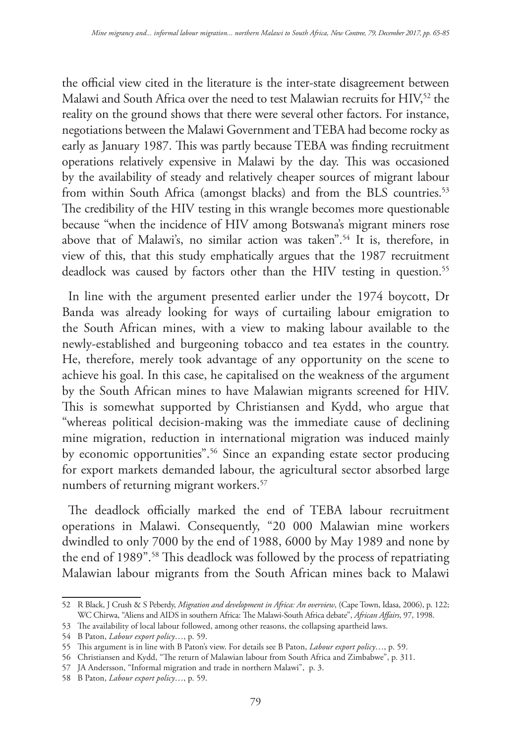the official view cited in the literature is the inter-state disagreement between Malawi and South Africa over the need to test Malawian recruits for HIV,<sup>52</sup> the reality on the ground shows that there were several other factors. For instance, negotiations between the Malawi Government and TEBA had become rocky as early as January 1987. This was partly because TEBA was finding recruitment operations relatively expensive in Malawi by the day. This was occasioned by the availability of steady and relatively cheaper sources of migrant labour from within South Africa (amongst blacks) and from the BLS countries.<sup>53</sup> The credibility of the HIV testing in this wrangle becomes more questionable because "when the incidence of HIV among Botswana's migrant miners rose above that of Malawi's, no similar action was taken".<sup>54</sup> It is, therefore, in view of this, that this study emphatically argues that the 1987 recruitment deadlock was caused by factors other than the HIV testing in question.<sup>55</sup>

In line with the argument presented earlier under the 1974 boycott, Dr Banda was already looking for ways of curtailing labour emigration to the South African mines, with a view to making labour available to the newly-established and burgeoning tobacco and tea estates in the country. He, therefore, merely took advantage of any opportunity on the scene to achieve his goal. In this case, he capitalised on the weakness of the argument by the South African mines to have Malawian migrants screened for HIV. This is somewhat supported by Christiansen and Kydd, who argue that "whereas political decision-making was the immediate cause of declining mine migration, reduction in international migration was induced mainly by economic opportunities".56 Since an expanding estate sector producing for export markets demanded labour, the agricultural sector absorbed large numbers of returning migrant workers.<sup>57</sup>

The deadlock officially marked the end of TEBA labour recruitment operations in Malawi. Consequently, "20 000 Malawian mine workers dwindled to only 7000 by the end of 1988, 6000 by May 1989 and none by the end of 1989".<sup>58</sup> This deadlock was followed by the process of repatriating Malawian labour migrants from the South African mines back to Malawi

<sup>52</sup> R Black, J Crush & S Peberdy, *Migration and development in Africa: An overview*, (Cape Town, Idasa, 2006), p. 122; WC Chirwa, "Aliens and AIDS in southern Africa: The Malawi-South Africa debate", *African Affairs*, 97, 1998.

<sup>53</sup> The availability of local labour followed, among other reasons, the collapsing apartheid laws.

<sup>54</sup> B Paton, *Labour export policy*…, p. 59.

<sup>55</sup> This argument is in line with B Paton's view. For details see B Paton, *Labour export policy*…, p. 59.

<sup>56</sup> Christiansen and Kydd, "The return of Malawian labour from South Africa and Zimbabwe", p. 311.

<sup>57</sup> JA Andersson, "Informal migration and trade in northern Malawi", p. 3.

<sup>58</sup> B Paton, *Labour export policy*…, p. 59.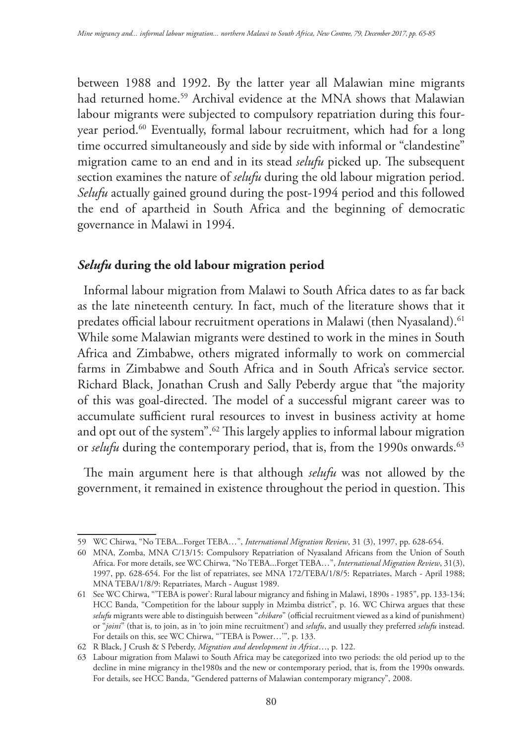between 1988 and 1992. By the latter year all Malawian mine migrants had returned home.<sup>59</sup> Archival evidence at the MNA shows that Malawian labour migrants were subjected to compulsory repatriation during this fouryear period.<sup>60</sup> Eventually, formal labour recruitment, which had for a long time occurred simultaneously and side by side with informal or "clandestine" migration came to an end and in its stead *selufu* picked up. The subsequent section examines the nature of *selufu* during the old labour migration period. *Selufu* actually gained ground during the post-1994 period and this followed the end of apartheid in South Africa and the beginning of democratic governance in Malawi in 1994.

## *Selufu* **during the old labour migration period**

Informal labour migration from Malawi to South Africa dates to as far back as the late nineteenth century. In fact, much of the literature shows that it predates official labour recruitment operations in Malawi (then Nyasaland).<sup>61</sup> While some Malawian migrants were destined to work in the mines in South Africa and Zimbabwe, others migrated informally to work on commercial farms in Zimbabwe and South Africa and in South Africa's service sector. Richard Black, Jonathan Crush and Sally Peberdy argue that "the majority of this was goal-directed. The model of a successful migrant career was to accumulate sufficient rural resources to invest in business activity at home and opt out of the system".<sup>62</sup> This largely applies to informal labour migration or *selufu* during the contemporary period, that is, from the 1990s onwards.<sup>63</sup>

The main argument here is that although *selufu* was not allowed by the government, it remained in existence throughout the period in question. This

<sup>59</sup> WC Chirwa, "No TEBA...Forget TEBA…", *International Migration Review*, 31 (3), 1997, pp. 628-654.

<sup>60</sup> MNA, Zomba, MNA C/13/15: Compulsory Repatriation of Nyasaland Africans from the Union of South Africa. For more details, see WC Chirwa, "No TEBA...Forget TEBA…", *International Migration Review*, 31(3), 1997, pp. 628-654. For the list of repatriates, see MNA 172/TEBA/1/8/5: Repatriates, March - April 1988; MNA TEBA/1/8/9: Repatriates, March - August 1989.

<sup>61</sup> See WC Chirwa, "'TEBA is power': Rural labour migrancy and fishing in Malawi, 1890s - 1985", pp. 133-134; HCC Banda, "Competition for the labour supply in Mzimba district", p. 16. WC Chirwa argues that these *selufu* migrants were able to distinguish between "*chibaro*" (official recruitment viewed as a kind of punishment) or "*joini*" (that is, to join, as in 'to join mine recruitment') and *selufu*, and usually they preferred *selufu* instead. For details on this, see WC Chirwa, "'TEBA is Power…'", p. 133.

<sup>62</sup> R Black, J Crush & S Peberdy, *Migration and development in Africa*…, p. 122.

<sup>63</sup> Labour migration from Malawi to South Africa may be categorized into two periods: the old period up to the decline in mine migrancy in the1980s and the new or contemporary period, that is, from the 1990s onwards. For details, see HCC Banda, "Gendered patterns of Malawian contemporary migrancy", 2008.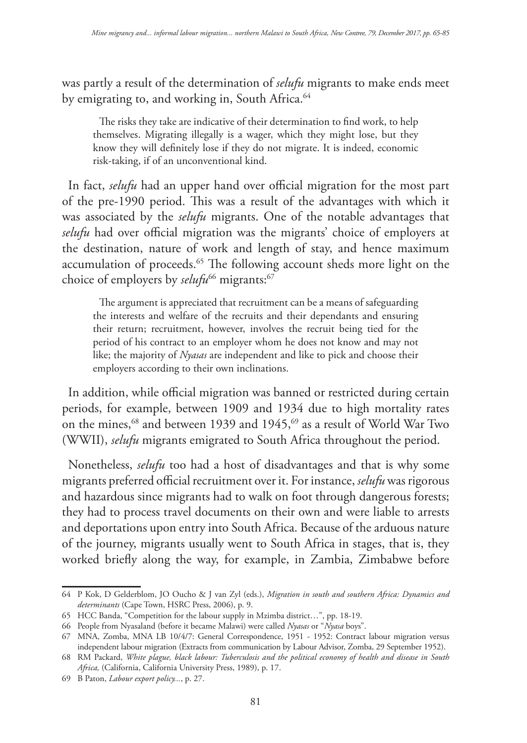was partly a result of the determination of *selufu* migrants to make ends meet by emigrating to, and working in, South Africa.<sup>64</sup>

The risks they take are indicative of their determination to find work, to help themselves. Migrating illegally is a wager, which they might lose, but they know they will definitely lose if they do not migrate. It is indeed, economic risk-taking, if of an unconventional kind.

In fact, *selufu* had an upper hand over official migration for the most part of the pre-1990 period. This was a result of the advantages with which it was associated by the *selufu* migrants. One of the notable advantages that *selufu* had over official migration was the migrants' choice of employers at the destination, nature of work and length of stay, and hence maximum accumulation of proceeds.<sup>65</sup> The following account sheds more light on the choice of employers by *selufu*<sup>66</sup> migrants:<sup>67</sup>

The argument is appreciated that recruitment can be a means of safeguarding the interests and welfare of the recruits and their dependants and ensuring their return; recruitment, however, involves the recruit being tied for the period of his contract to an employer whom he does not know and may not like; the majority of *Nyasas* are independent and like to pick and choose their employers according to their own inclinations.

In addition, while official migration was banned or restricted during certain periods, for example, between 1909 and 1934 due to high mortality rates on the mines,<sup>68</sup> and between 1939 and 1945,<sup>69</sup> as a result of World War Two (WWII), *selufu* migrants emigrated to South Africa throughout the period.

Nonetheless, *selufu* too had a host of disadvantages and that is why some migrants preferred official recruitment over it. For instance, *selufu* was rigorous and hazardous since migrants had to walk on foot through dangerous forests; they had to process travel documents on their own and were liable to arrests and deportations upon entry into South Africa. Because of the arduous nature of the journey, migrants usually went to South Africa in stages, that is, they worked briefly along the way, for example, in Zambia, Zimbabwe before

<sup>64</sup> P Kok, D Gelderblom, JO Oucho & J van Zyl (eds.), *Migration in south and southern Africa: Dynamics and determinants* (Cape Town, HSRC Press, 2006), p. 9.

<sup>65</sup> HCC Banda, "Competition for the labour supply in Mzimba district…", pp. 18-19.

<sup>66</sup> People from Nyasaland (before it became Malawi) were called *Nyasas* or "*Nyasa* boys".

<sup>67</sup> MNA, Zomba, MNA LB 10/4/7: General Correspondence, 1951 - 1952: Contract labour migration versus independent labour migration (Extracts from communication by Labour Advisor, Zomba, 29 September 1952).

<sup>68</sup> RM Packard, *White plague, black labour: Tuberculosis and the political economy of health and disease in South Africa,* (California, California University Press, 1989), p. 17.

<sup>69</sup> B Paton, *Labour export policy...*, p. 27.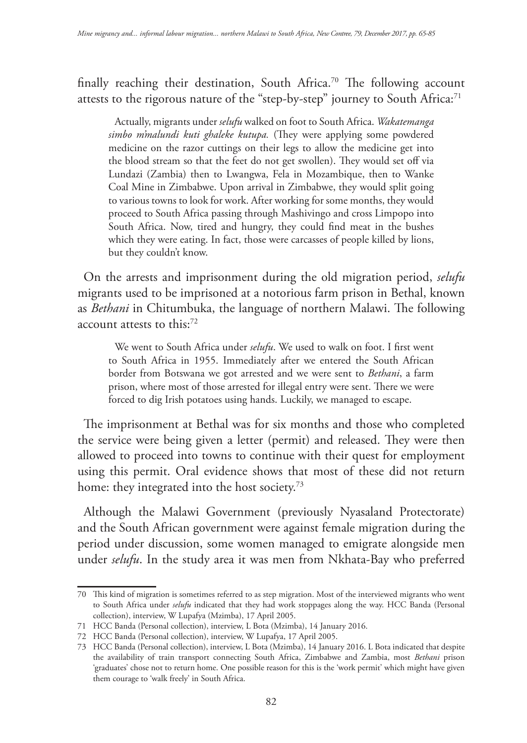finally reaching their destination, South Africa.<sup>70</sup> The following account attests to the rigorous nature of the "step-by-step" journey to South Africa:71

Actually, migrants under *selufu* walked on foot to South Africa. *Wakatemanga simbo m'malundi kuti ghaleke kutupa.* (They were applying some powdered medicine on the razor cuttings on their legs to allow the medicine get into the blood stream so that the feet do not get swollen). They would set off via Lundazi (Zambia) then to Lwangwa, Fela in Mozambique, then to Wanke Coal Mine in Zimbabwe. Upon arrival in Zimbabwe, they would split going to various towns to look for work. After working for some months, they would proceed to South Africa passing through Mashivingo and cross Limpopo into South Africa. Now, tired and hungry, they could find meat in the bushes which they were eating. In fact, those were carcasses of people killed by lions, but they couldn't know.

On the arrests and imprisonment during the old migration period, *selufu*  migrants used to be imprisoned at a notorious farm prison in Bethal, known as *Bethani* in Chitumbuka, the language of northern Malawi. The following account attests to this:72

We went to South Africa under *selufu*. We used to walk on foot. I first went to South Africa in 1955. Immediately after we entered the South African border from Botswana we got arrested and we were sent to *Bethani*, a farm prison, where most of those arrested for illegal entry were sent. There we were forced to dig Irish potatoes using hands. Luckily, we managed to escape.

The imprisonment at Bethal was for six months and those who completed the service were being given a letter (permit) and released. They were then allowed to proceed into towns to continue with their quest for employment using this permit. Oral evidence shows that most of these did not return home: they integrated into the host society.<sup>73</sup>

Although the Malawi Government (previously Nyasaland Protectorate) and the South African government were against female migration during the period under discussion, some women managed to emigrate alongside men under *selufu*. In the study area it was men from Nkhata-Bay who preferred

<sup>70</sup> This kind of migration is sometimes referred to as step migration. Most of the interviewed migrants who went to South Africa under *selufu* indicated that they had work stoppages along the way. HCC Banda (Personal collection), interview, W Lupafya (Mzimba), 17 April 2005.

<sup>71</sup> HCC Banda (Personal collection), interview, L Bota (Mzimba), 14 January 2016.

<sup>72</sup> HCC Banda (Personal collection), interview, W Lupafya, 17 April 2005.

<sup>73</sup> HCC Banda (Personal collection), interview, L Bota (Mzimba), 14 January 2016. L Bota indicated that despite the availability of train transport connecting South Africa, Zimbabwe and Zambia, most *Bethani* prison 'graduates' chose not to return home. One possible reason for this is the 'work permit' which might have given them courage to 'walk freely' in South Africa.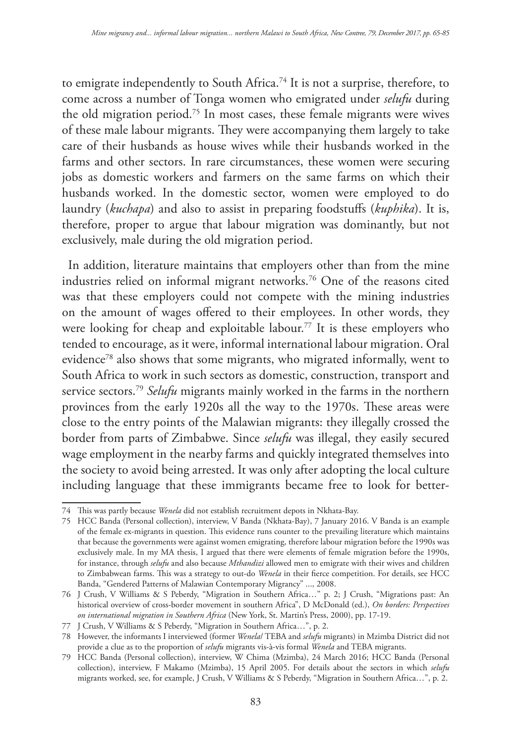to emigrate independently to South Africa.<sup>74</sup> It is not a surprise, therefore, to come across a number of Tonga women who emigrated under *selufu* during the old migration period.<sup>75</sup> In most cases, these female migrants were wives of these male labour migrants. They were accompanying them largely to take care of their husbands as house wives while their husbands worked in the farms and other sectors. In rare circumstances, these women were securing jobs as domestic workers and farmers on the same farms on which their husbands worked. In the domestic sector, women were employed to do laundry (*kuchapa*) and also to assist in preparing foodstuffs (*kuphika*). It is, therefore, proper to argue that labour migration was dominantly, but not exclusively, male during the old migration period.

In addition, literature maintains that employers other than from the mine industries relied on informal migrant networks.76 One of the reasons cited was that these employers could not compete with the mining industries on the amount of wages offered to their employees. In other words, they were looking for cheap and exploitable labour.<sup>77</sup> It is these employers who tended to encourage, as it were, informal international labour migration. Oral evidence78 also shows that some migrants, who migrated informally, went to South Africa to work in such sectors as domestic, construction, transport and service sectors.79 *Selufu* migrants mainly worked in the farms in the northern provinces from the early 1920s all the way to the 1970s. These areas were close to the entry points of the Malawian migrants: they illegally crossed the border from parts of Zimbabwe. Since *selufu* was illegal, they easily secured wage employment in the nearby farms and quickly integrated themselves into the society to avoid being arrested. It was only after adopting the local culture including language that these immigrants became free to look for better-

<sup>74</sup> This was partly because *Wenela* did not establish recruitment depots in Nkhata-Bay.

<sup>75</sup> HCC Banda (Personal collection), interview, V Banda (Nkhata-Bay), 7 January 2016. V Banda is an example of the female ex-migrants in question. This evidence runs counter to the prevailing literature which maintains that because the governments were against women emigrating, therefore labour migration before the 1990s was exclusively male. In my MA thesis, I argued that there were elements of female migration before the 1990s, for instance, through *selufu* and also because *Mthandizi* allowed men to emigrate with their wives and children to Zimbabwean farms. This was a strategy to out-do *Wenela* in their fierce competition. For details, see HCC Banda, "Gendered Patterns of Malawian Contemporary Migrancy" ..., 2008.

<sup>76</sup> J Crush, V Williams & S Peberdy, "Migration in Southern Africa…" p. 2; J Crush, "Migrations past: An historical overview of cross-border movement in southern Africa", D McDonald (ed.), *On borders: Perspectives on international migration in Southern Africa* (New York, St. Martin's Press, 2000), pp. 17-19.

<sup>77</sup> J Crush, V Williams & S Peberdy, "Migration in Southern Africa…", p. 2.

<sup>78</sup> However, the informants I interviewed (former *Wenela*/ TEBA and *selufu* migrants) in Mzimba District did not provide a clue as to the proportion of *selufu* migrants vis-à-vis formal *Wenela* and TEBA migrants.

<sup>79</sup> HCC Banda (Personal collection), interview, W Chima (Mzimba), 24 March 2016; HCC Banda (Personal collection), interview, F Makamo (Mzimba), 15 April 2005. For details about the sectors in which *selufu* migrants worked, see, for example, J Crush, V Williams & S Peberdy, "Migration in Southern Africa…", p. 2.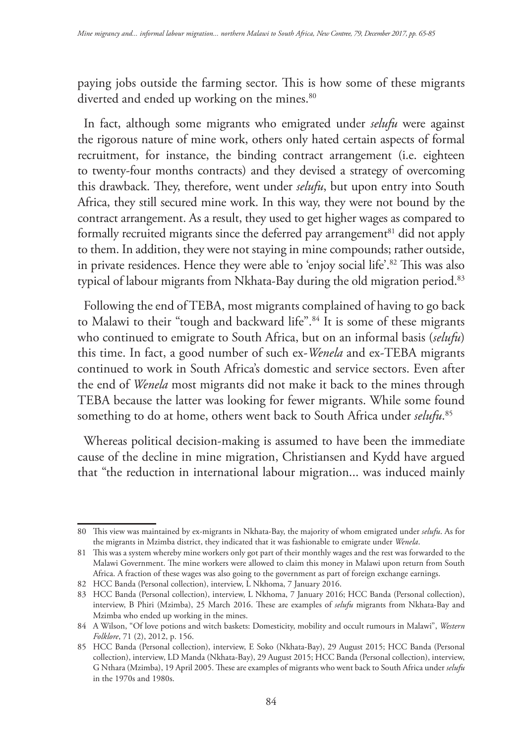paying jobs outside the farming sector. This is how some of these migrants diverted and ended up working on the mines.<sup>80</sup>

In fact, although some migrants who emigrated under *selufu* were against the rigorous nature of mine work, others only hated certain aspects of formal recruitment, for instance, the binding contract arrangement (i.e. eighteen to twenty-four months contracts) and they devised a strategy of overcoming this drawback. They, therefore, went under *selufu*, but upon entry into South Africa, they still secured mine work. In this way, they were not bound by the contract arrangement. As a result, they used to get higher wages as compared to formally recruited migrants since the deferred pay arrangement<sup>81</sup> did not apply to them. In addition, they were not staying in mine compounds; rather outside, in private residences. Hence they were able to 'enjoy social life'.82 This was also typical of labour migrants from Nkhata-Bay during the old migration period.<sup>83</sup>

Following the end of TEBA, most migrants complained of having to go back to Malawi to their "tough and backward life".<sup>84</sup> It is some of these migrants who continued to emigrate to South Africa, but on an informal basis (*selufu*) this time. In fact, a good number of such ex-*Wenela* and ex-TEBA migrants continued to work in South Africa's domestic and service sectors. Even after the end of *Wenela* most migrants did not make it back to the mines through TEBA because the latter was looking for fewer migrants. While some found something to do at home, others went back to South Africa under *selufu*. 85

Whereas political decision-making is assumed to have been the immediate cause of the decline in mine migration, Christiansen and Kydd have argued that "the reduction in international labour migration... was induced mainly

<sup>80</sup> This view was maintained by ex-migrants in Nkhata-Bay, the majority of whom emigrated under *selufu*. As for the migrants in Mzimba district, they indicated that it was fashionable to emigrate under *Wenela*.

<sup>81</sup> This was a system whereby mine workers only got part of their monthly wages and the rest was forwarded to the Malawi Government. The mine workers were allowed to claim this money in Malawi upon return from South Africa. A fraction of these wages was also going to the government as part of foreign exchange earnings.

<sup>82</sup> HCC Banda (Personal collection), interview, L Nkhoma, 7 January 2016.

<sup>83</sup> HCC Banda (Personal collection), interview, L Nkhoma, 7 January 2016; HCC Banda (Personal collection), interview, B Phiri (Mzimba), 25 March 2016. These are examples of *selufu* migrants from Nkhata-Bay and Mzimba who ended up working in the mines.

<sup>84</sup> A Wilson, "Of love potions and witch baskets: Domesticity, mobility and occult rumours in Malawi", *Western Folklore*, 71 (2), 2012, p. 156.

<sup>85</sup> HCC Banda (Personal collection), interview, E Soko (Nkhata-Bay), 29 August 2015; HCC Banda (Personal collection), interview, LD Manda (Nkhata-Bay), 29 August 2015; HCC Banda (Personal collection), interview, G Nthara (Mzimba), 19 April 2005. These are examples of migrants who went back to South Africa under *selufu* in the 1970s and 1980s.